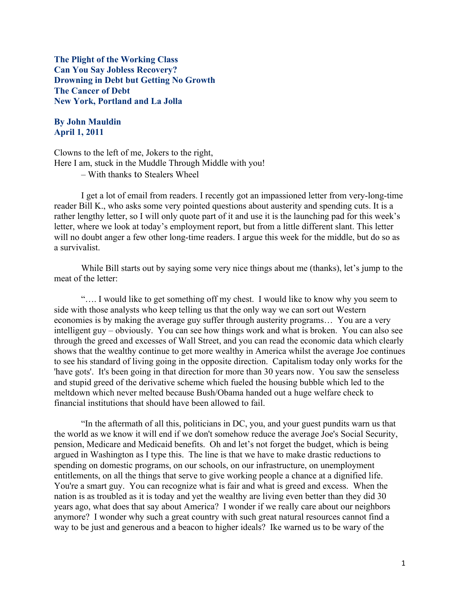The Plight of the Working Class Can You Say Jobless Recovery? Drowning in Debt but Getting No Growth The Cancer of Debt New York, Portland and La Jolla

# By John Mauldin April 1, 2011

Clowns to the left of me, Jokers to the right, Here I am, stuck in the Muddle Through Middle with you!

– With thanks to Stealers Wheel

I get a lot of email from readers. I recently got an impassioned letter from very-long-time reader Bill K., who asks some very pointed questions about austerity and spending cuts. It is a rather lengthy letter, so I will only quote part of it and use it is the launching pad for this week's letter, where we look at today's employment report, but from a little different slant. This letter will no doubt anger a few other long-time readers. I argue this week for the middle, but do so as a survivalist.

While Bill starts out by saying some very nice things about me (thanks), let's jump to the meat of the letter:

"…. I would like to get something off my chest. I would like to know why you seem to side with those analysts who keep telling us that the only way we can sort out Western economies is by making the average guy suffer through austerity programs… You are a very intelligent guy – obviously. You can see how things work and what is broken. You can also see through the greed and excesses of Wall Street, and you can read the economic data which clearly shows that the wealthy continue to get more wealthy in America whilst the average Joe continues to see his standard of living going in the opposite direction. Capitalism today only works for the 'have gots'. It's been going in that direction for more than 30 years now. You saw the senseless and stupid greed of the derivative scheme which fueled the housing bubble which led to the meltdown which never melted because Bush/Obama handed out a huge welfare check to financial institutions that should have been allowed to fail.

"In the aftermath of all this, politicians in DC, you, and your guest pundits warn us that the world as we know it will end if we don't somehow reduce the average Joe's Social Security, pension, Medicare and Medicaid benefits. Oh and let's not forget the budget, which is being argued in Washington as I type this. The line is that we have to make drastic reductions to spending on domestic programs, on our schools, on our infrastructure, on unemployment entitlements, on all the things that serve to give working people a chance at a dignified life. You're a smart guy. You can recognize what is fair and what is greed and excess. When the nation is as troubled as it is today and yet the wealthy are living even better than they did 30 years ago, what does that say about America? I wonder if we really care about our neighbors anymore? I wonder why such a great country with such great natural resources cannot find a way to be just and generous and a beacon to higher ideals? Ike warned us to be wary of the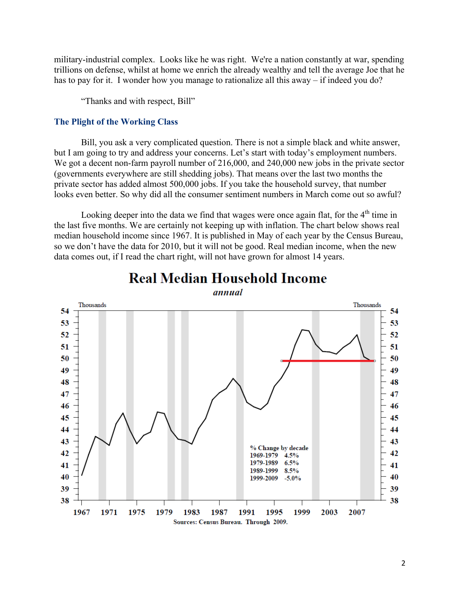military-industrial complex. Looks like he was right. We're a nation constantly at war, spending trillions on defense, whilst at home we enrich the already wealthy and tell the average Joe that he has to pay for it. I wonder how you manage to rationalize all this away – if indeed you do?

"Thanks and with respect, Bill"

#### The Plight of the Working Class

Bill, you ask a very complicated question. There is not a simple black and white answer, but I am going to try and address your concerns. Let's start with today's employment numbers. We got a decent non-farm payroll number of 216,000, and 240,000 new jobs in the private sector (governments everywhere are still shedding jobs). That means over the last two months the private sector has added almost 500,000 jobs. If you take the household survey, that number looks even better. So why did all the consumer sentiment numbers in March come out so awful?

Looking deeper into the data we find that wages were once again flat, for the  $4<sup>th</sup>$  time in the last five months. We are certainly not keeping up with inflation. The chart below shows real median household income since 1967. It is published in May of each year by the Census Bureau, so we don't have the data for 2010, but it will not be good. Real median income, when the new data comes out, if I read the chart right, will not have grown for almost 14 years.



**Real Median Household Income**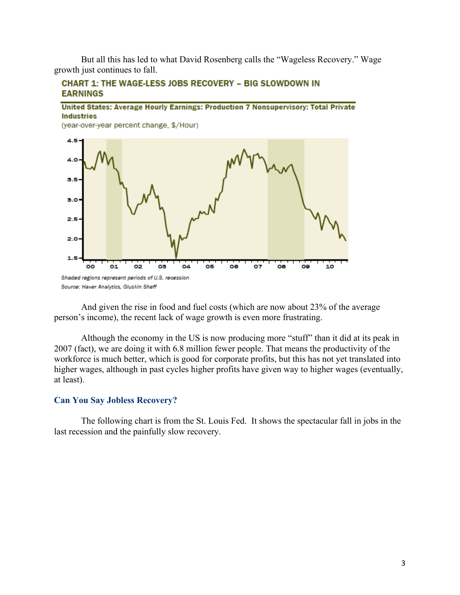But all this has led to what David Rosenberg calls the "Wageless Recovery." Wage growth just continues to fall.

# **CHART 1: THE WAGE-LESS JOBS RECOVERY - BIG SLOWDOWN IN EARNINGS**

United States: Average Hourly Earnings: Production 7 Nonsupervisory: Total Private **Industries** 

(year-over-year percent change, \$/Hour)



And given the rise in food and fuel costs (which are now about 23% of the average person's income), the recent lack of wage growth is even more frustrating.

Although the economy in the US is now producing more "stuff" than it did at its peak in 2007 (fact), we are doing it with 6.8 million fewer people. That means the productivity of the workforce is much better, which is good for corporate profits, but this has not yet translated into higher wages, although in past cycles higher profits have given way to higher wages (eventually, at least).

#### Can You Say Jobless Recovery?

The following chart is from the St. Louis Fed. It shows the spectacular fall in jobs in the last recession and the painfully slow recovery.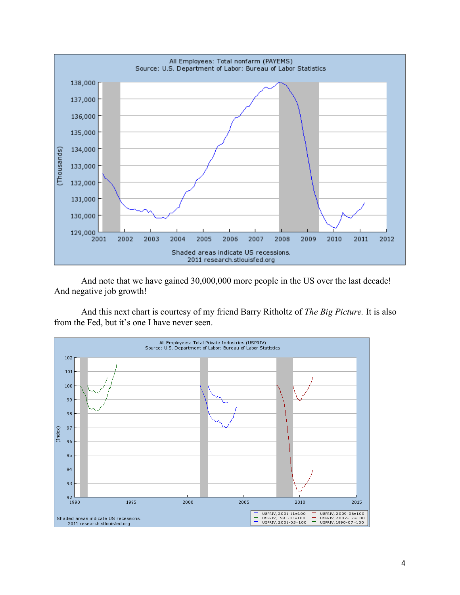

And note that we have gained 30,000,000 more people in the US over the last decade! And negative job growth!

And this next chart is courtesy of my friend Barry Ritholtz of *The Big Picture.* It is also from the Fed, but it's one I have never seen.

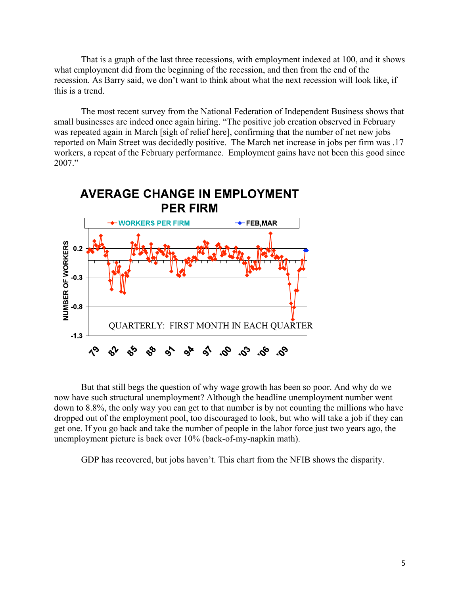That is a graph of the last three recessions, with employment indexed at 100, and it shows what employment did from the beginning of the recession, and then from the end of the recession. As Barry said, we don't want to think about what the next recession will look like, if this is a trend.

The most recent survey from the National Federation of Independent Business shows that small businesses are indeed once again hiring. "The positive job creation observed in February was repeated again in March [sigh of relief here], confirming that the number of net new jobs reported on Main Street was decidedly positive. The March net increase in jobs per firm was .17 workers, a repeat of the February performance. Employment gains have not been this good since 2007."



But that still begs the question of why wage growth has been so poor. And why do we now have such structural unemployment? Although the headline unemployment number went down to 8.8%, the only way you can get to that number is by not counting the millions who have dropped out of the employment pool, too discouraged to look, but who will take a job if they can get one. If you go back and take the number of people in the labor force just two years ago, the unemployment picture is back over 10% (back-of-my-napkin math).

GDP has recovered, but jobs haven't. This chart from the NFIB shows the disparity.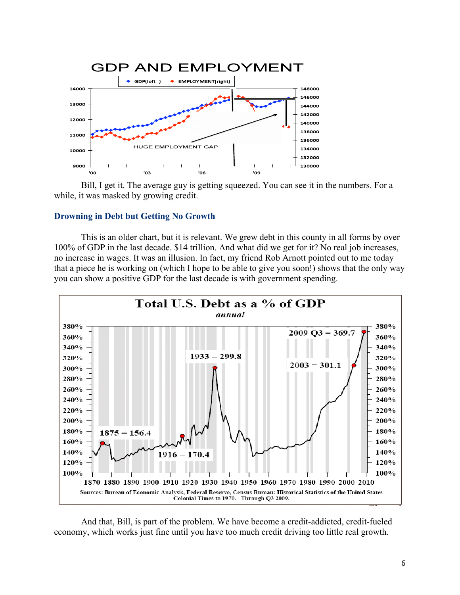

Bill, I get it. The average guy is getting squeezed. You can see it in the numbers. For a while, it was masked by growing credit.

# Drowning in Debt but Getting No Growth

This is an older chart, but it is relevant. We grew debt in this county in all forms by over 100% of GDP in the last decade. \$14 trillion. And what did we get for it? No real job increases, no increase in wages. It was an illusion. In fact, my friend Rob Arnott pointed out to me today that a piece he is working on (which I hope to be able to give you soon!) shows that the only way you can show a positive GDP for the last decade is with government spending.



And that, Bill, is part of the problem. We have become a credit-addicted, credit-fueled economy, which works just fine until you have too much credit driving too little real growth.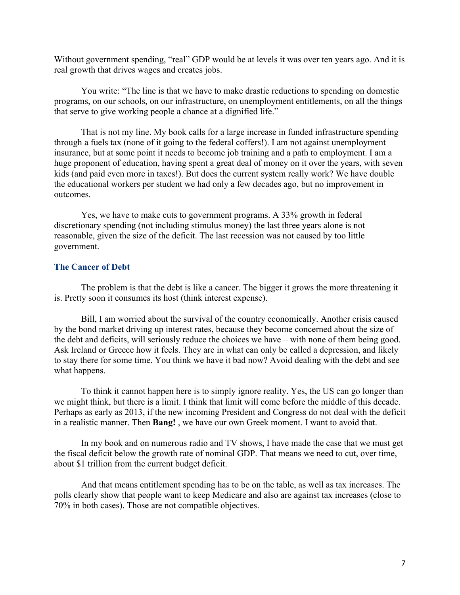Without government spending, "real" GDP would be at levels it was over ten years ago. And it is real growth that drives wages and creates jobs.

You write: "The line is that we have to make drastic reductions to spending on domestic programs, on our schools, on our infrastructure, on unemployment entitlements, on all the things that serve to give working people a chance at a dignified life."

That is not my line. My book calls for a large increase in funded infrastructure spending through a fuels tax (none of it going to the federal coffers!). I am not against unemployment insurance, but at some point it needs to become job training and a path to employment. I am a huge proponent of education, having spent a great deal of money on it over the years, with seven kids (and paid even more in taxes!). But does the current system really work? We have double the educational workers per student we had only a few decades ago, but no improvement in outcomes.

Yes, we have to make cuts to government programs. A 33% growth in federal discretionary spending (not including stimulus money) the last three years alone is not reasonable, given the size of the deficit. The last recession was not caused by too little government.

# The Cancer of Debt

The problem is that the debt is like a cancer. The bigger it grows the more threatening it is. Pretty soon it consumes its host (think interest expense).

Bill, I am worried about the survival of the country economically. Another crisis caused by the bond market driving up interest rates, because they become concerned about the size of the debt and deficits, will seriously reduce the choices we have – with none of them being good. Ask Ireland or Greece how it feels. They are in what can only be called a depression, and likely to stay there for some time. You think we have it bad now? Avoid dealing with the debt and see what happens.

To think it cannot happen here is to simply ignore reality. Yes, the US can go longer than we might think, but there is a limit. I think that limit will come before the middle of this decade. Perhaps as early as 2013, if the new incoming President and Congress do not deal with the deficit in a realistic manner. Then Bang! , we have our own Greek moment. I want to avoid that.

In my book and on numerous radio and TV shows, I have made the case that we must get the fiscal deficit below the growth rate of nominal GDP. That means we need to cut, over time, about \$1 trillion from the current budget deficit.

And that means entitlement spending has to be on the table, as well as tax increases. The polls clearly show that people want to keep Medicare and also are against tax increases (close to 70% in both cases). Those are not compatible objectives.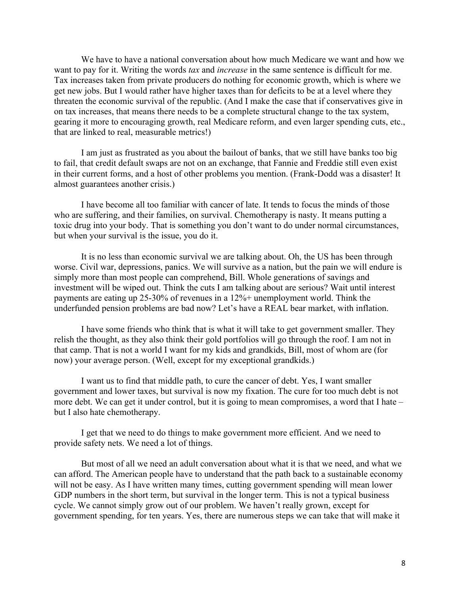We have to have a national conversation about how much Medicare we want and how we want to pay for it. Writing the words *tax* and *increase* in the same sentence is difficult for me. Tax increases taken from private producers do nothing for economic growth, which is where we get new jobs. But I would rather have higher taxes than for deficits to be at a level where they threaten the economic survival of the republic. (And I make the case that if conservatives give in on tax increases, that means there needs to be a complete structural change to the tax system, gearing it more to encouraging growth, real Medicare reform, and even larger spending cuts, etc., that are linked to real, measurable metrics!)

I am just as frustrated as you about the bailout of banks, that we still have banks too big to fail, that credit default swaps are not on an exchange, that Fannie and Freddie still even exist in their current forms, and a host of other problems you mention. (Frank-Dodd was a disaster! It almost guarantees another crisis.)

I have become all too familiar with cancer of late. It tends to focus the minds of those who are suffering, and their families, on survival. Chemotherapy is nasty. It means putting a toxic drug into your body. That is something you don't want to do under normal circumstances, but when your survival is the issue, you do it.

It is no less than economic survival we are talking about. Oh, the US has been through worse. Civil war, depressions, panics. We will survive as a nation, but the pain we will endure is simply more than most people can comprehend, Bill. Whole generations of savings and investment will be wiped out. Think the cuts I am talking about are serious? Wait until interest payments are eating up 25-30% of revenues in a 12%+ unemployment world. Think the underfunded pension problems are bad now? Let's have a REAL bear market, with inflation.

I have some friends who think that is what it will take to get government smaller. They relish the thought, as they also think their gold portfolios will go through the roof. I am not in that camp. That is not a world I want for my kids and grandkids, Bill, most of whom are (for now) your average person. (Well, except for my exceptional grandkids.)

I want us to find that middle path, to cure the cancer of debt. Yes, I want smaller government and lower taxes, but survival is now my fixation. The cure for too much debt is not more debt. We can get it under control, but it is going to mean compromises, a word that I hate – but I also hate chemotherapy.

I get that we need to do things to make government more efficient. And we need to provide safety nets. We need a lot of things.

But most of all we need an adult conversation about what it is that we need, and what we can afford. The American people have to understand that the path back to a sustainable economy will not be easy. As I have written many times, cutting government spending will mean lower GDP numbers in the short term, but survival in the longer term. This is not a typical business cycle. We cannot simply grow out of our problem. We haven't really grown, except for government spending, for ten years. Yes, there are numerous steps we can take that will make it